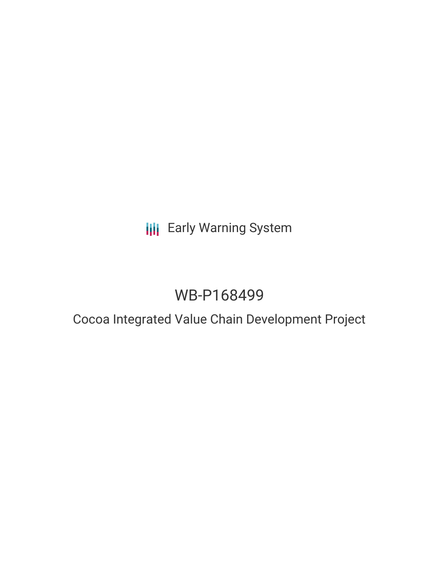# **III** Early Warning System

# WB-P168499

### Cocoa Integrated Value Chain Development Project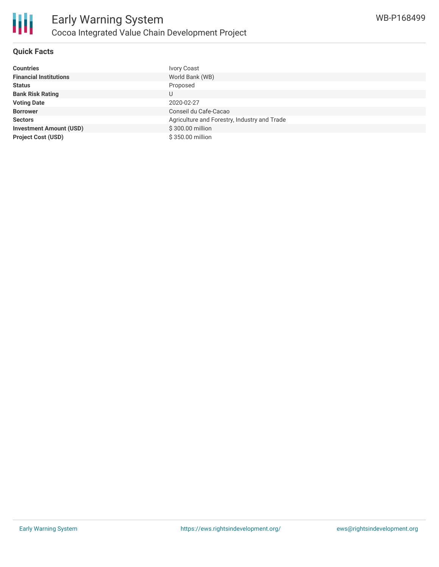

#### **Quick Facts**

| <b>Countries</b>               | <b>Ivory Coast</b>                           |
|--------------------------------|----------------------------------------------|
| <b>Financial Institutions</b>  | World Bank (WB)                              |
| <b>Status</b>                  | Proposed                                     |
| <b>Bank Risk Rating</b>        | U                                            |
| <b>Voting Date</b>             | 2020-02-27                                   |
| <b>Borrower</b>                | Conseil du Cafe-Cacao                        |
| <b>Sectors</b>                 | Agriculture and Forestry, Industry and Trade |
| <b>Investment Amount (USD)</b> | \$300.00 million                             |
| <b>Project Cost (USD)</b>      | \$350.00 million                             |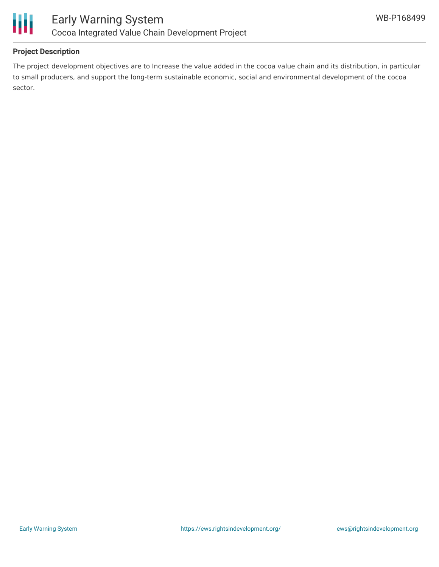



#### **Project Description**

The project development objectives are to Increase the value added in the cocoa value chain and its distribution, in particular to small producers, and support the long-term sustainable economic, social and environmental development of the cocoa sector.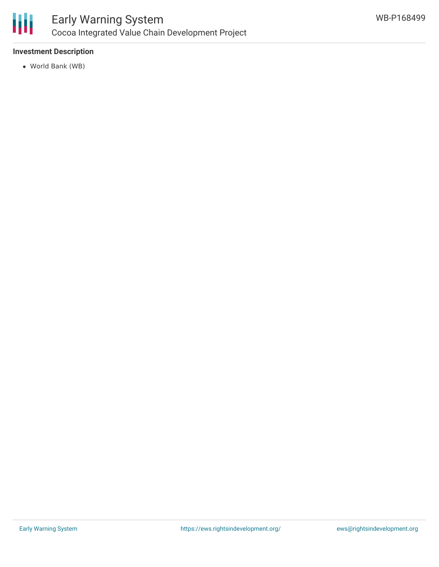

#### **Investment Description**

World Bank (WB)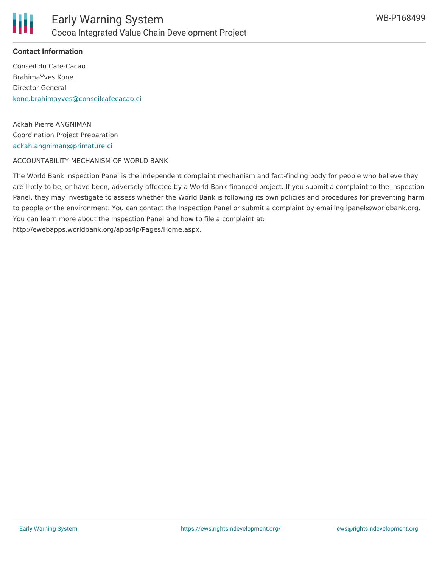

#### **Contact Information**

Conseil du Cafe-Cacao BrahimaYves Kone Director General [kone.brahimayves@conseilcafecacao.ci](mailto:kone.brahimayves@conseilcafecacao.ci)

Ackah Pierre ANGNIMAN Coordination Project Preparation [ackah.angniman@primature.ci](mailto:ackah.angniman@primature.ci)

ACCOUNTABILITY MECHANISM OF WORLD BANK

The World Bank Inspection Panel is the independent complaint mechanism and fact-finding body for people who believe they are likely to be, or have been, adversely affected by a World Bank-financed project. If you submit a complaint to the Inspection Panel, they may investigate to assess whether the World Bank is following its own policies and procedures for preventing harm to people or the environment. You can contact the Inspection Panel or submit a complaint by emailing ipanel@worldbank.org. You can learn more about the Inspection Panel and how to file a complaint at: http://ewebapps.worldbank.org/apps/ip/Pages/Home.aspx.